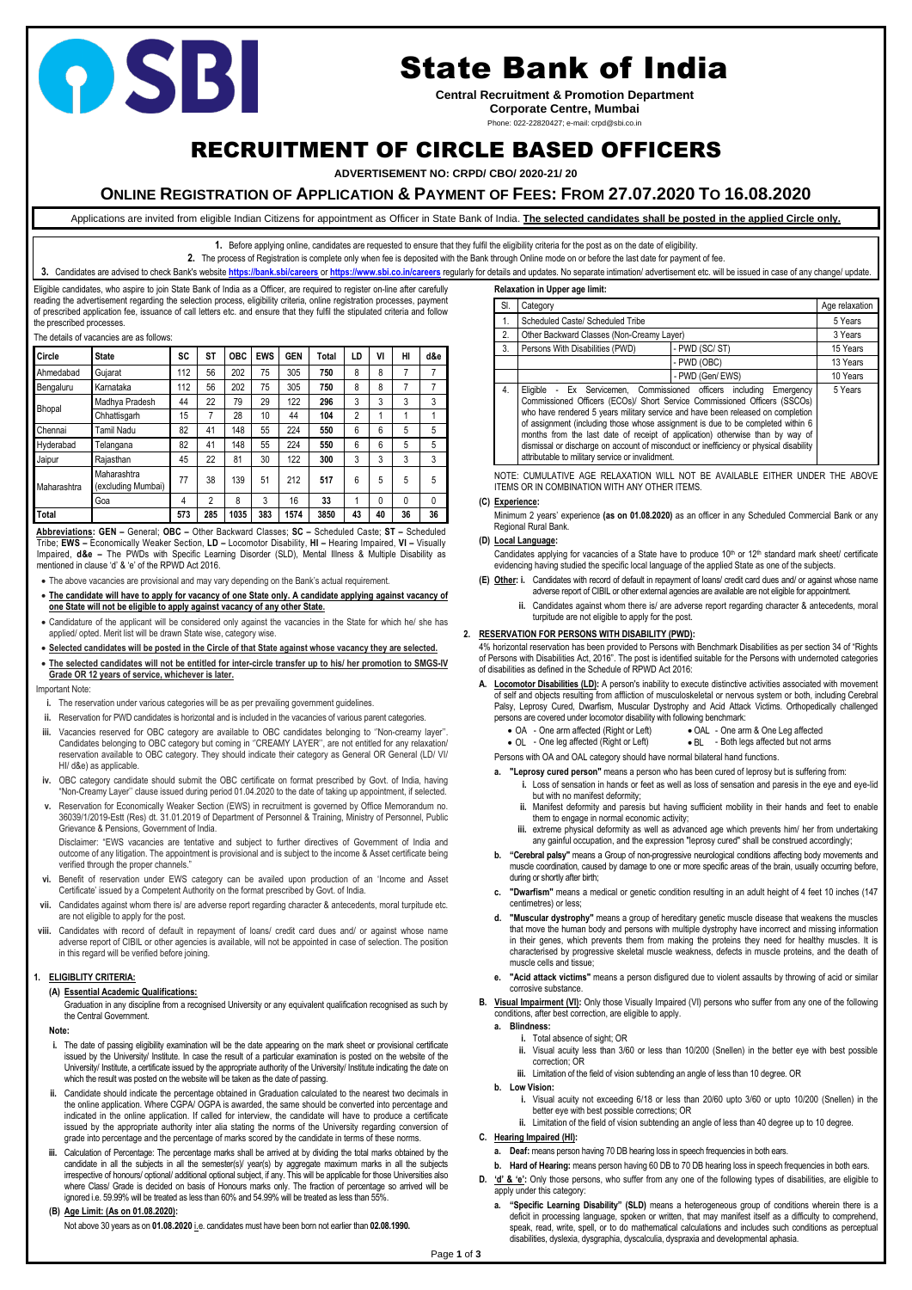Page **1** of **3**

# RECRUITMENT OF CIRCLE BASED OFFICERS

**ADVERTISEMENT NO: CRPD/ CBO/ 2020-21/ 20**

## **ONLINE REGISTRATION OF APPLICATION & PAYMENT OF FEES: FROM 27.07.2020 TO 16.08.2020**

Applications are invited from eligible Indian Citizens for appointment as Officer in State Bank of India. **The selected candidates shall be posted in the applied Circle only.**

**1.** Before applying online, candidates are requested to ensure that they fulfil the eligibility criteria for the post as on the date of eligibility.

**2.** The process of Registration is complete only when fee is deposited with the Bank through Online mode on or before the last date for payment of fee.

3. Candidates are advised to check Bank's website <https://bank.sbi/careers> or <https://www.sbi.co.in/careers> regularly for details and updates. No separate intimation/advertisement etc. will be issued in case of any change/

Eligible candidates, who aspire to join State Bank of India as a Officer, are required to register on-line after carefully reading the advertisement regarding the selection process, eligibility criteria, online registration processes, payment of prescribed application fee, issuance of call letters etc. and ensure that they fulfil the stipulated criteria and follow the prescribed processes.

#### The details of vacancies are as follows:

| Circle        | <b>State</b>                      | <b>SC</b> | <b>ST</b>      | <b>OBC</b> | <b>EWS</b> | <b>GEN</b> | Total | LD | VI | HI | d&e      |
|---------------|-----------------------------------|-----------|----------------|------------|------------|------------|-------|----|----|----|----------|
| Ahmedabad     | Gujarat                           | 112       | 56             | 202        | 75         | 305        | 750   | 8  | 8  | 7  | 7        |
| Bengaluru     | Karnataka                         | 112       | 56             | 202        | 75         | 305        | 750   | 8  | 8  | 7  | 7        |
| <b>Bhopal</b> | Madhya Pradesh                    | 44        | 22             | 79         | 29         | 122        | 296   | 3  | 3  | 3  | 3        |
|               | Chhattisgarh                      | 15        | 7              | 28         | 10         | 44         | 104   | 2  |    | 1  | 1        |
| Chennai       | Tamil Nadu                        | 82        | 41             | 148        | 55         | 224        | 550   | 6  | 6  | 5  | 5        |
| Hyderabad     | Telangana                         | 82        | 41             | 148        | 55         | 224        | 550   | 6  | 6  | 5  | 5        |
| Jaipur        | Rajasthan                         | 45        | 22             | 81         | 30         | 122        | 300   | 3  | 3  | 3  | 3        |
| Maharashtra   | Maharashtra<br>(excluding Mumbai) | 77        | 38             | 139        | 51         | 212        | 517   | 6  | 5  | 5  | 5        |
|               | Goa                               | 4         | $\mathfrak{p}$ | 8          | 3          | 16         | 33    | 1  | 0  | 0  | $\Omega$ |
| Total         |                                   | 573       | 285            | 1035       | 383        | 1574       | 3850  | 43 | 40 | 36 | 36       |

**Abbreviations: GEN –** General; **OBC –** Other Backward Classes; **SC –** Scheduled Caste; **ST –** Scheduled Tribe; **EWS –** Economically Weaker Section, **LD –** Locomotor Disability, **HI –** Hearing Impaired, **VI –** Visually Impaired, **d&e –** The PWDs with Specific Learning Disorder (SLD), Mental Illness & Multiple Disability as mentioned in clause 'd' & 'e' of the RPWD Act 2016.

• The above vacancies are provisional and may vary depending on the Bank's actual requirement.

- **The candidate will have to apply for vacancy of one State only. A candidate applying against vacancy of one State will not be eligible to apply against vacancy of any other State.**
- Candidature of the applicant will be considered only against the vacancies in the State for which he/ she has applied/ opted. Merit list will be drawn State wise, category wise.
- **Selected candidates will be posted in the Circle of that State against whose vacancy they are selected.**
- **The selected candidates will not be entitled for inter-circle transfer up to his/ her promotion to SMGS-IV Grade OR 12 years of service, whichever is later.**

#### Important Note:

- **i.** The reservation under various categories will be as per prevailing government guidelines.
- **ii.** Reservation for PWD candidates is horizontal and is included in the vacancies of various parent categories.
- **iii.** Vacancies reserved for OBC category are available to OBC candidates belonging to ''Non-creamy layer''. Candidates belonging to OBC category but coming in ''CREAMY LAYER'', are not entitled for any relaxation/ reservation available to OBC category. They should indicate their category as General OR General (LD/ VI/ HI/ d&e) as applicable.
- **iv.** OBC category candidate should submit the OBC certificate on format prescribed by Govt. of India, having "Non-Creamy Layer'' clause issued during period 01.04.2020 to the date of taking up appointment, if selected.
- **v.** Reservation for Economically Weaker Section (EWS) in recruitment is governed by Office Memorandum no. 36039/1/2019-Estt (Res) dt. 31.01.2019 of Department of Personnel & Training, Ministry of Personnel, Public Grievance & Pensions, Government of India.

Candidates applying for vacancies of a State have to produce  $10<sup>th</sup>$  or  $12<sup>th</sup>$  standard mark sheet/ certificate evidencing having studied the specific local language of the applied State as one of the subjects.

Disclaimer: "EWS vacancies are tentative and subject to further directives of Government of India and outcome of any litigation. The appointment is provisional and is subject to the income & Asset certificate being verified through the proper channels."

- **A. Locomotor Disabilities (LD):** A person's inability to execute distinctive activities associated with movement of self and objects resulting from affliction of musculoskeletal or nervous system or both, including Cerebral Palsy, Leprosy Cured, Dwarfism, Muscular Dystrophy and Acid Attack Victims. Orthopedically challenged persons are covered under locomotor disability with following benchmark:
	- OA One arm affected (Right or Left) OAL One arm & One Leg affected
	- OL One leg affected (Right or Left) BL Both legs affected but not arms

- **vi.** Benefit of reservation under EWS category can be availed upon production of an 'Income and Asset Certificate' issued by a Competent Authority on the format prescribed by Govt. of India.
- **vii.** Candidates against whom there is/ are adverse report regarding character & antecedents, moral turpitude etc. are not eligible to apply for the post.
- **viii.** Candidates with record of default in repayment of loans/ credit card dues and/ or against whose name adverse report of CIBIL or other agencies is available, will not be appointed in case of selection. The position in this regard will be verified before joining.

#### **1. ELIGIBLITY CRITERIA:**

#### **(A) Essential Academic Qualifications:**

Graduation in any discipline from a recognised University or any equivalent qualification recognised as such by the Central Government.

#### **Note:**

- **i.** The date of passing eligibility examination will be the date appearing on the mark sheet or provisional certificate issued by the University/ Institute. In case the result of a particular examination is posted on the website of the University/ Institute, a certificate issued by the appropriate authority of the University/ Institute indicating the date on which the result was posted on the website will be taken as the date of passing.
- **ii.** Candidate should indicate the percentage obtained in Graduation calculated to the nearest two decimals in the online application. Where CGPA/ OGPA is awarded, the same should be converted into percentage and indicated in the online application. If called for interview, the candidate will have to produce a certificate issued by the appropriate authority inter alia stating the norms of the University regarding conversion of grade into percentage and the percentage of marks scored by the candidate in terms of these norms.
- **iii.** Calculation of Percentage: The percentage marks shall be arrived at by dividing the total marks obtained by the candidate in all the subjects in all the semester(s)/ year(s) by aggregate maximum marks in all the subjects irrespective of honours/ optional/ additional optional subject, if any. This will be applicable for those Universities also where Class/ Grade is decided on basis of Honours marks only. The fraction of percentage so arrived will be ignored i.e. 59.99% will be treated as less than 60% and 54.99% will be treated as less than 55%.

#### **(B) Age Limit: (As on 01.08.2020):**

Not above 30 years as on **01.08.2020** i.e. candidates must have been born not earlier than **02.08.1990.**

#### **Relaxation in Upper age limit:**

| SI. | Category                                                                                                                                                                                                                                                                                                                                                                                                                                                                                                                                                            | Age relaxation |          |  |
|-----|---------------------------------------------------------------------------------------------------------------------------------------------------------------------------------------------------------------------------------------------------------------------------------------------------------------------------------------------------------------------------------------------------------------------------------------------------------------------------------------------------------------------------------------------------------------------|----------------|----------|--|
|     | Scheduled Caste/ Scheduled Tribe                                                                                                                                                                                                                                                                                                                                                                                                                                                                                                                                    | 5 Years        |          |  |
| 2.  | Other Backward Classes (Non-Creamy Layer)                                                                                                                                                                                                                                                                                                                                                                                                                                                                                                                           |                |          |  |
| 3.  | Persons With Disabilities (PWD)                                                                                                                                                                                                                                                                                                                                                                                                                                                                                                                                     | 15 Years       |          |  |
|     | - PWD (OBC)                                                                                                                                                                                                                                                                                                                                                                                                                                                                                                                                                         |                | 13 Years |  |
|     |                                                                                                                                                                                                                                                                                                                                                                                                                                                                                                                                                                     | 10 Years       |          |  |
| 4.  | Eligible - Ex Servicemen, Commissioned officers including<br>5 Years<br>Emergency<br>Commissioned Officers (ECOs)/ Short Service Commissioned Officers (SSCOs)<br>who have rendered 5 years military service and have been released on completion<br>of assignment (including those whose assignment is due to be completed within 6<br>months from the last date of receipt of application) otherwise than by way of<br>dismissal or discharge on account of misconduct or inefficiency or physical disability<br>attributable to military service or invalidment. |                |          |  |

NOTE: CUMULATIVE AGE RELAXATION WILL NOT BE AVAILABLE EITHER UNDER THE ABOVE ITEMS OR IN COMBINATION WITH ANY OTHER ITEMS.

#### **(C) Experience:**

Minimum 2 years' experience **(as on 01.08.2020)** as an officer in any Scheduled Commercial Bank or any Regional Rural Bank.

#### **(D) Local Language:**

- **(E) Other: i.** Candidates with record of default in repayment of loans/ credit card dues and/ or against whose name adverse report of CIBIL or other external agencies are available are not eligible for appointment.
	- **ii.** Candidates against whom there is/ are adverse report regarding character & antecedents, moral turpitude are not eligible to apply for the post.

#### **2. RESERVATION FOR PERSONS WITH DISABILITY (PWD):**

4% horizontal reservation has been provided to Persons with Benchmark Disabilities as per section 34 of "Rights of Persons with Disabilities Act, 2016". The post is identified suitable for the Persons with undernoted categories of disabilities as defined in the Schedule of RPWD Act 2016:

Persons with OA and OAL category should have normal bilateral hand functions.

- **a. "Leprosy cured person"** means a person who has been cured of leprosy but is suffering from:
	- **i.** Loss of sensation in hands or feet as well as loss of sensation and paresis in the eye and eye-lid but with no manifest deformity;
	- **ii.** Manifest deformity and paresis but having sufficient mobility in their hands and feet to enable them to engage in normal economic activity;
	- **iii.** extreme physical deformity as well as advanced age which prevents him/ her from undertaking any gainful occupation, and the expression "leprosy cured" shall be construed accordingly;
- **b. "Cerebral palsy"** means a Group of non-progressive neurological conditions affecting body movements and muscle coordination, caused by damage to one or more specific areas of the brain, usually occurring before, during or shortly after birth;
- **c. "Dwarfism"** means a medical or genetic condition resulting in an adult height of 4 feet 10 inches (147 centimetres) or less;
- **d. "Muscular dystrophy"** means a group of hereditary genetic muscle disease that weakens the muscles that move the human body and persons with multiple dystrophy have incorrect and missing information in their genes, which prevents them from making the proteins they need for healthy muscles. It is characterised by progressive skeletal muscle weakness, defects in muscle proteins, and the death of muscle cells and tissue;
	-
- **e. "Acid attack victims"** means a person disfigured due to violent assaults by throwing of acid or similar corrosive substance.
- **B. Visual Impairment (VI):** Only those Visually Impaired (VI) persons who suffer from any one of the following conditions, after best correction, are eligible to apply.
	- **a. Blindness:**
		- **i.** Total absence of sight; OR
		- **ii.** Visual acuity less than 3/60 or less than 10/200 (Snellen) in the better eye with best possible correction; OR
		- **iii.** Limitation of the field of vision subtending an angle of less than 10 degree. OR
	- **b. Low Vision:**
		- **i.** Visual acuity not exceeding 6/18 or less than 20/60 upto 3/60 or upto 10/200 (Snellen) in the better eye with best possible corrections; OR
		- ii. Limitation of the field of vision subtending an angle of less than 40 degree up to 10 degree.
- **C. Hearing Impaired (HI):**
	- **a. Deaf:** means person having 70 DB hearing loss in speech frequencies in both ears.
	- **b. Hard of Hearing:** means person having 60 DB to 70 DB hearing loss in speech frequencies in both ears.
- **D. 'd' & 'e':** Only those persons, who suffer from any one of the following types of disabilities, are eligible to apply under this category:
	- **a. "Specific Learning Disability" (SLD)** means a heterogeneous group of conditions wherein there is a deficit in processing language, spoken or written, that may manifest itself as a difficulty to comprehend, speak, read, write, spell, or to do mathematical calculations and includes such conditions as perceptual disabilities, dyslexia, dysgraphia, dyscalculia, dyspraxia and developmental aphasia.



# State Bank of India

**Central Recruitment & Promotion Department Corporate Centre, Mumbai**

### Phone: 022-22820427; e-mail: crpd@sbi.co.in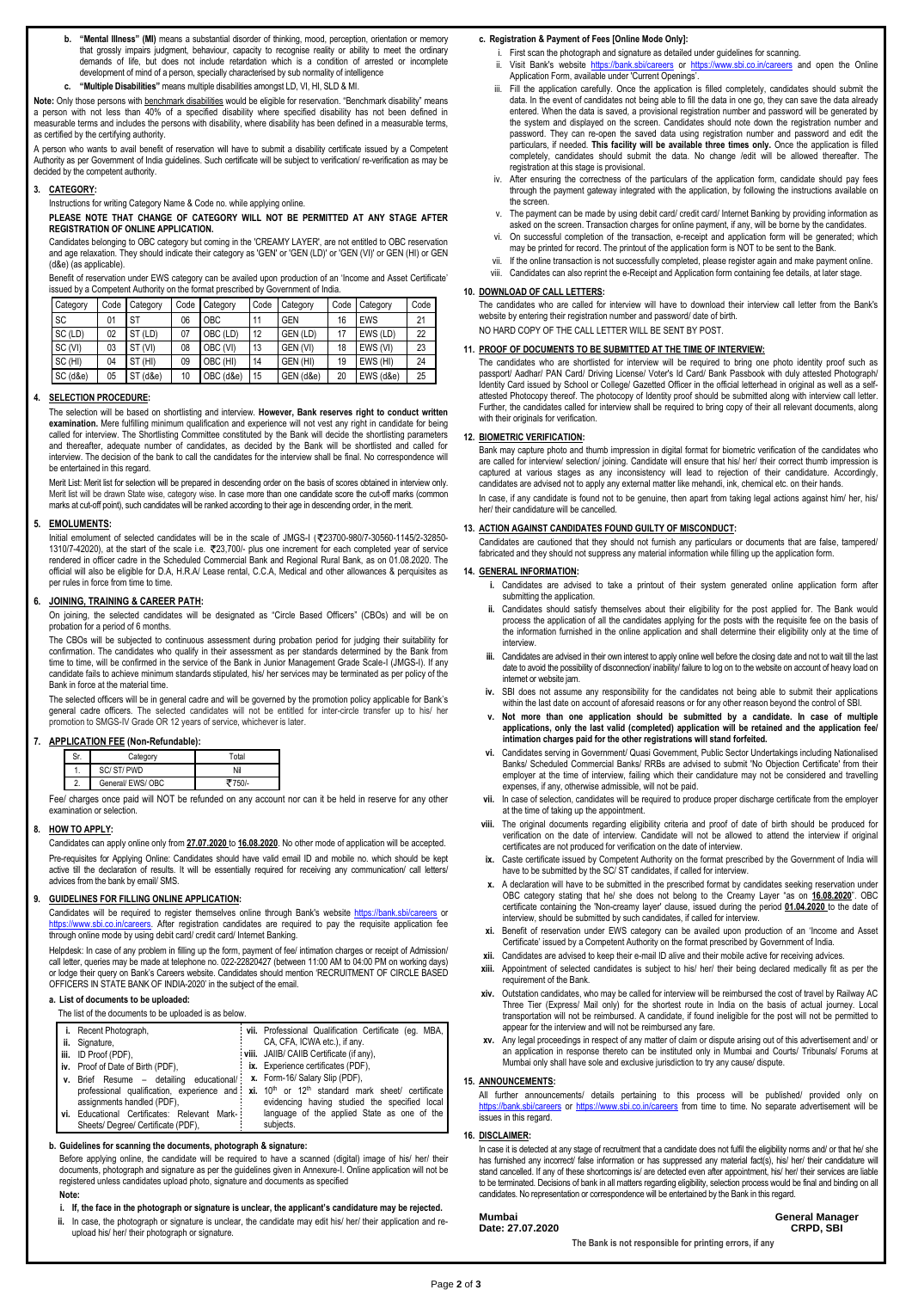- **b. "Mental Illness" (MI)** means a substantial disorder of thinking, mood, perception, orientation or memory that grossly impairs judgment, behaviour, capacity to recognise reality or ability to meet the ordinary demands of life, but does not include retardation which is a condition of arrested or incomplete development of mind of a person, specially characterised by sub normality of intelligence
- **c. "Multiple Disabilities"** means multiple disabilities amongst LD, VI, HI, SLD & MI.

**Note:** Only those persons with benchmark disabilities would be eligible for reservation. "Benchmark disability" means a person with not less than 40% of a specified disability where specified disability has not been defined in measurable terms and includes the persons with disability, where disability has been defined in a measurable terms, as certified by the certifying authority.

A person who wants to avail benefit of reservation will have to submit a disability certificate issued by a Competent Authority as per Government of India guidelines. Such certificate will be subject to verification/ re-verification as may be decided by the competent authority.

#### **3. CATEGORY:**

Instructions for writing Category Name & Code no. while applying online.

**PLEASE NOTE THAT CHANGE OF CATEGORY WILL NOT BE PERMITTED AT ANY STAGE AFTER REGISTRATION OF ONLINE APPLICATION.**

Candidates belonging to OBC category but coming in the 'CREAMY LAYER', are not entitled to OBC reservation and age relaxation. They should indicate their category as 'GEN' or 'GEN (LD)' or 'GEN (VI)' or GEN (HI) or GEN (d&e) (as applicable).

Benefit of reservation under EWS category can be availed upon production of an 'Income and Asset Certificate' issued by a Competent Authority on the format prescribed by Government of India.

Initial emolument of selected candidates will be in the scale of JMGS-I (₹23700-980/7-30560-1145/2-32850-1310/7-42020), at the start of the scale i.e. 23,700/- plus one increment for each completed year of service rendered in officer cadre in the Scheduled Commercial Bank and Regional Rural Bank, as on 01.08.2020. The official will also be eligible for D.A, H.R.A/ Lease rental, C.C.A, Medical and other allowances & perquisites as per rules in force from time to time.

| Category | Code | Category       | Code | Category  | Code | Category   | Code | Category   | Code |
|----------|------|----------------|------|-----------|------|------------|------|------------|------|
| SC       | 01   | ST             | 06   | OBC.      | 11   | <b>GEN</b> | 16   | <b>EWS</b> | 21   |
| SC (LD)  | 02   | ST<br>(LD)     | 07   | OBC (LD)  | 12   | GEN (LD)   | 17   | EWS (LD)   | 22   |
| SC (VI)  | 03   | ST<br>(VI)     | 08   | OBC (VI)  | 13   | GEN (VI)   | 18   | EWS (VI)   | 23   |
| SC (HI)  | 04   | (HI)<br>ST     | 09   | OBC (HI)  | 14   | GEN (HI)   | 19   | EWS (HI)   | 24   |
| SC (d&e) | 05   | $(d\&e)$<br>ST | 10   | OBC (d&e) | 15   | GEN (d&e)  | 20   | EWS (d&e)  | 25   |

#### **4. SELECTION PROCEDURE:**

The selection will be based on shortlisting and interview. **However, Bank reserves right to conduct written examination.** Mere fulfilling minimum qualification and experience will not vest any right in candidate for being called for interview. The Shortlisting Committee constituted by the Bank will decide the shortlisting parameters and thereafter, adequate number of candidates, as decided by the Bank will be shortlisted and called for interview. The decision of the bank to call the candidates for the interview shall be final. No correspondence will be entertained in this regard.

Merit List: Merit list for selection will be prepared in descending order on the basis of scores obtained in interview only. Merit list will be drawn State wise, category wise. In case more than one candidate score the cut-off marks (common marks at cut-off point), such candidates will be ranked according to their age in descending order, in the merit.

#### **5. EMOLUMENTS:**

#### **6. JOINING, TRAINING & CAREER PATH:**

On joining, the selected candidates will be designated as "Circle Based Officers" (CBOs) and will be on probation for a period of 6 months.

The CBOs will be subjected to continuous assessment during probation period for judging their suitability for confirmation. The candidates who qualify in their assessment as per standards determined by the Bank from time to time, will be confirmed in the service of the Bank in Junior Management Grade Scale-I (JMGS-I). If any candidate fails to achieve minimum standards stipulated, his/ her services may be terminated as per policy of the Bank in force at the material time.

The selected officers will be in general cadre and will be governed by the promotion policy applicable for Bank's general cadre officers. The selected candidates will not be entitled for inter-circle transfer up to his/ her promotion to SMGS-IV Grade OR 12 years of service, whichever is later.

#### **7. APPLICATION FEE (Non-Refundable):**

|         | Category        | Total   |
|---------|-----------------|---------|
| . .     | SC/ST/PWD       | Nil     |
| <u></u> | General/EWS/OBC | $750/-$ |

Fee/ charges once paid will NOT be refunded on any account nor can it be held in reserve for any other examination or selection.

#### **8. HOW TO APPLY:**

Candidates can apply online only from **27.07.2020** to **16.08.2020**. No other mode of application will be accepted.

Pre-requisites for Applying Online: Candidates should have valid email ID and mobile no. which should be kept active till the declaration of results. It will be essentially required for receiving any communication/ call letters/ advices from the bank by email/ SMS.

#### **9. GUIDELINES FOR FILLING ONLINE APPLICATION:**

In case, if any candidate is found not to be genuine, then apart from taking legal actions against him/ her, his/ her/ their candidature will be cancelled.

Candidates will be required to register themselves online through Bank's website <https://bank.sbi/careers> or https://www.sbi.co.in/careers</u>. After registration candidates are required to pay the requisite application fee through online mode by using debit card/ credit card/ Internet Banking.

Helpdesk: In case of any problem in filling up the form, payment of fee/ intimation charges or receipt of Admission/ call letter, queries may be made at telephone no. 022-22820427 (between 11:00 AM to 04:00 PM on working days) or lodge their query on Bank's Careers website. Candidates should mention 'RECRUITMENT OF CIRCLE BASED

OFFICERS IN STATE BANK OF INDIA-2020' in the subject of the email.

#### **a. List of documents to be uploaded:**

The list of the documents to be uploaded is as below.

| i. Recent Photograph,                                                    | : vii. Professional Qualification Certificate (eg. MBA,                                                                  |
|--------------------------------------------------------------------------|--------------------------------------------------------------------------------------------------------------------------|
| ii. Signature,                                                           | CA, CFA, ICWA etc.), if any.                                                                                             |
| iii. ID Proof (PDF),                                                     | viii. JAIIB/ CAIIB Certificate (if any),                                                                                 |
| iv. Proof of Date of Birth (PDF),                                        | $\therefore$ ix. Experience certificates (PDF),                                                                          |
| v. Brief Resume - detailing educational/: x. Form-16/ Salary Slip (PDF), |                                                                                                                          |
|                                                                          | professional qualification, experience and: $xi$ . 10 <sup>th</sup> or 12 <sup>th</sup> standard mark sheet/ certificate |
| assignments handled (PDF),                                               | evidencing having studied the specified local                                                                            |
| vi. Educational Certificates: Relevant Mark-                             | language of the applied State as one of the                                                                              |
| Sheets/Degree/Certificate (PDF),                                         | subjects.                                                                                                                |

#### **b. Guidelines for scanning the documents, photograph & signature:**

Before applying online, the candidate will be required to have a scanned (digital) image of his/ her/ their documents, photograph and signature as per the guidelines given in Annexure-I. Online application will not be registered unless candidates upload photo, signature and documents as specified

#### **Note:**

- **i. If, the face in the photograph or signature is unclear, the applicant's candidature may be rejected.**
- **ii.** In case, the photograph or signature is unclear, the candidate may edit his/ her/ their application and reupload his/ her/ their photograph or signature.

#### **c. Registration & Payment of Fees [Online Mode Only]:**

In case it is detected at any stage of recruitment that a candidate does not fulfil the eligibility norms and/ or that he/ she has furnished any incorrect/ false information or has suppressed any material fact(s), his/ her/ their candidature will stand cancelled. If any of these shortcomings is/ are detected even after appointment, his/ her/ their services are liable to be terminated. Decisions of bank in all matters regarding eligibility, selection process would be final and binding on all candidates. No representation or correspondence will be entertained by the Bank in this regard.

- i. First scan the photograph and signature as detailed under guidelines for scanning.
- ii. Visit Bank's website<https://bank.sbi/careers> or <https://www.sbi.co.in/careers> and open the Online Application Form, available under 'Current Openings'.
- iii. Fill the application carefully. Once the application is filled completely, candidates should submit the data. In the event of candidates not being able to fill the data in one go, they can save the data already entered. When the data is saved, a provisional registration number and password will be generated by the system and displayed on the screen. Candidates should note down the registration number and password. They can re-open the saved data using registration number and password and edit the particulars, if needed. **This facility will be available three times only.** Once the application is filled completely, candidates should submit the data. No change /edit will be allowed thereafter. The registration at this stage is provisional.
- iv. After ensuring the correctness of the particulars of the application form, candidate should pay fees through the payment gateway integrated with the application, by following the instructions available on the screen.
- The payment can be made by using debit card/ credit card/ Internet Banking by providing information as asked on the screen. Transaction charges for online payment, if any, will be borne by the candidates.
- On successful completion of the transaction, e-receipt and application form will be generated; which may be printed for record. The printout of the application form is NOT to be sent to the Bank.
- vii. If the online transaction is not successfully completed, please register again and make payment online.
- viii. Candidates can also reprint the e-Receipt and Application form containing fee details, at later stage.

#### **10. DOWNLOAD OF CALL LETTERS:**

The candidates who are called for interview will have to download their interview call letter from the Bank's website by entering their registration number and password/ date of birth.

NO HARD COPY OF THE CALL LETTER WILL BE SENT BY POST.

#### **11. PROOF OF DOCUMENTS TO BE SUBMITTED AT THE TIME OF INTERVIEW:**

The candidates who are shortlisted for interview will be required to bring one photo identity proof such as passport/ Aadhar/ PAN Card/ Driving License/ Voter's Id Card/ Bank Passbook with duly attested Photograph/ Identity Card issued by School or College/ Gazetted Officer in the official letterhead in original as well as a selfattested Photocopy thereof. The photocopy of Identity proof should be submitted along with interview call letter. Further, the candidates called for interview shall be required to bring copy of their all relevant documents, along with their originals for verification.

#### **12. BIOMETRIC VERIFICATION:**

Bank may capture photo and thumb impression in digital format for biometric verification of the candidates who are called for interview/ selection/ joining. Candidate will ensure that his/ her/ their correct thumb impression is captured at various stages as any inconsistency will lead to rejection of their candidature. Accordingly, candidates are advised not to apply any external matter like mehandi, ink, chemical etc. on their hands.

#### **13. ACTION AGAINST CANDIDATES FOUND GUILTY OF MISCONDUCT:**

Candidates are cautioned that they should not furnish any particulars or documents that are false, tampered/ fabricated and they should not suppress any material information while filling up the application form.

#### **14. GENERAL INFORMATION:**

- **i.** Candidates are advised to take a printout of their system generated online application form after submitting the application.
- **ii.** Candidates should satisfy themselves about their eligibility for the post applied for. The Bank would process the application of all the candidates applying for the posts with the requisite fee on the basis of the information furnished in the online application and shall determine their eligibility only at the time of interview
- **iii.** Candidates are advised in their own interest to apply online well before the closing date and not to wait till the last date to avoid the possibility of disconnection/ inability/ failure to log on to the website on account of heavy load on internet or website jam.
- **iv.** SBI does not assume any responsibility for the candidates not being able to submit their applications within the last date on account of aforesaid reasons or for any other reason beyond the control of SBI.
- **v. Not more than one application should be submitted by a candidate. In case of multiple applications, only the last valid (completed) application will be retained and the application fee/ intimation charges paid for the other registrations will stand forfeited.**
- **vi.** Candidates serving in Government/ Quasi Government, Public Sector Undertakings including Nationalised Banks/ Scheduled Commercial Banks/ RRBs are advised to submit 'No Objection Certificate' from their employer at the time of interview, failing which their candidature may not be considered and travelling expenses, if any, otherwise admissible, will not be paid.
- **vii.** In case of selection, candidates will be required to produce proper discharge certificate from the employer at the time of taking up the appointment.
- **viii.** The original documents regarding eligibility criteria and proof of date of birth should be produced for verification on the date of interview. Candidate will not be allowed to attend the interview if original certificates are not produced for verification on the date of interview.
- **ix.** Caste certificate issued by Competent Authority on the format prescribed by the Government of India will have to be submitted by the SC/ ST candidates, if called for interview.
- **x.** A declaration will have to be submitted in the prescribed format by candidates seeking reservation under OBC category stating that he/ she does not belong to the Creamy Layer "as on **16.08.2020**". OBC certificate containing the 'Non-creamy layer' clause, issued during the period **01.04.2020** to the date of interview, should be submitted by such candidates, if called for interview.
- **xi.** Benefit of reservation under EWS category can be availed upon production of an 'Income and Asset Certificate' issued by a Competent Authority on the format prescribed by Government of India.
- **xii.** Candidates are advised to keep their e-mail ID alive and their mobile active for receiving advices.
- **xiii.** Appointment of selected candidates is subject to his/ her/ their being declared medically fit as per the

- requirement of the Bank.
- **xiv.** Outstation candidates, who may be called for interview will be reimbursed the cost of travel by Railway AC Three Tier (Express/ Mail only) for the shortest route in India on the basis of actual journey. Local transportation will not be reimbursed. A candidate, if found ineligible for the post will not be permitted to appear for the interview and will not be reimbursed any fare.
- **xv.** Any legal proceedings in respect of any matter of claim or dispute arising out of this advertisement and/ or an application in response thereto can be instituted only in Mumbai and Courts/ Tribunals/ Forums at Mumbai only shall have sole and exclusive jurisdiction to try any cause/ dispute.

#### **15. ANNOUNCEMENTS:**

All further announcements/ details pertaining to this process will be published/ provided only on <https://bank.sbi/careers> or<https://www.sbi.co.in/careers> from time to time. No separate advertisement will be issues in this regard.

#### **16. DISCLAIMER:**

#### **Mumbai Date: 27.07.2020**

**General Manager CRPD, SBI**

**The Bank is not responsible for printing errors, if any**